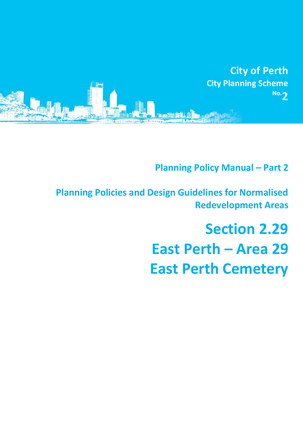

**Planning Policy Manual - Part 2** 

**Planning Policies and Design Guidelines for Normalised Redevelopment Areas**

# **Section 2.29 East Perth – Area 29 East Perth Cemetery**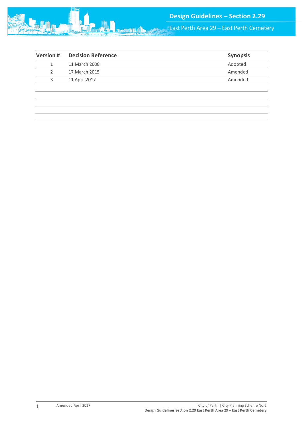

East Perth Area 29 – East Perth Cemetery

| <b>Version#</b> | <b>Decision Reference</b> | <b>Synopsis</b> |
|-----------------|---------------------------|-----------------|
| 1               | 11 March 2008             | Adopted         |
| 2               | 17 March 2015             | Amended         |
| 3               | 11 April 2017             | Amended         |
|                 |                           |                 |
|                 |                           |                 |
|                 |                           |                 |
|                 |                           |                 |
|                 |                           |                 |

1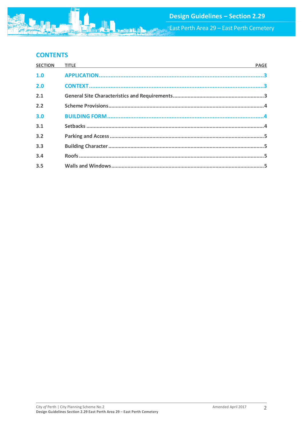## **CONTENTS**

| <b>SECTION</b> | <b>PAGE</b> |
|----------------|-------------|
| 1.0            |             |
| 2.0            |             |
| 2.1            |             |
| 2.2            |             |
| 3.0            |             |
| 3.1            |             |
| 3.2            |             |
| 3.3            |             |
| 3.4            |             |
| 3.5            |             |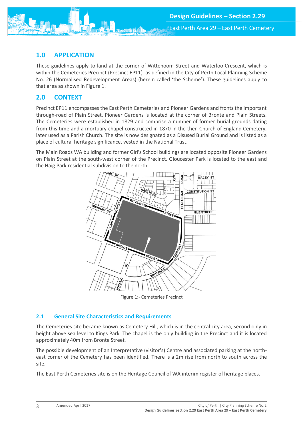<span id="page-3-0"></span>

These guidelines apply to land at the corner of Wittenoom Street and Waterloo Crescent, which is within the Cemeteries Precinct (Precinct EP11), as defined in the City of Perth Local Planning Scheme No. 26 (Normalised Redevelopment Areas) (herein called 'the Scheme'). These guidelines apply to that area as shown in Figure 1.

### <span id="page-3-1"></span>**2.0 CONTEXT**

Precinct EP11 encompasses the East Perth Cemeteries and Pioneer Gardens and fronts the important through-road of Plain Street. Pioneer Gardens is located at the corner of Bronte and Plain Streets. The Cemeteries were established in 1829 and comprise a number of former burial grounds dating from this time and a mortuary chapel constructed in 1870 in the then Church of England Cemetery, later used as a Parish Church. The site is now designated as a Disused Burial Ground and is listed as a place of cultural heritage significance, vested in the National Trust.

The Main Roads WA building and former Girl's School buildings are located opposite Pioneer Gardens on Plain Street at the south-west corner of the Precinct. Gloucester Park is located to the east and the Haig Park residential subdivision to the north.



Figure 1:- Cemeteries Precinct

#### <span id="page-3-2"></span>**2.1 General Site Characteristics and Requirements**

The Cemeteries site became known as Cemetery Hill, which is in the central city area, second only in height above sea level to Kings Park. The chapel is the only building in the Precinct and it is located approximately 40m from Bronte Street.

The possible development of an Interpretative (visitor's) Centre and associated parking at the northeast corner of the Cemetery has been identified. There is a 2m rise from north to south across the site.

The East Perth Cemeteries site is on the Heritage Council of WA interim register of heritage places.

3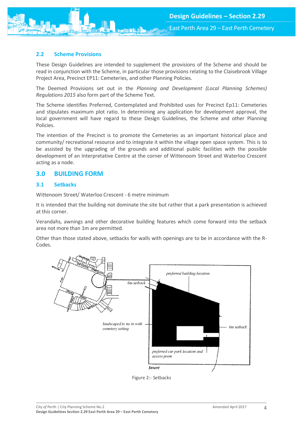<span id="page-4-0"></span>

These Design Guidelines are intended to supplement the provisions of the Scheme and should be read in conjunction with the Scheme, in particular those provisions relating to the Claisebrook Village Project Area, Precinct EP11: Cemeteries, and other Planning Policies.

The Deemed Provisions set out in the *Planning and Development (Local Planning Schemes) Regulations 2015* also form part of the Scheme Text.

The Scheme identifies Preferred, Contemplated and Prohibited uses for Precinct Ep11: Cemeteries and stipulates maximum plot ratio. In determining any application for development approval, the local government will have regard to these Design Guidelines, the Scheme and other Planning Policies.

The intention of the Precinct is to promote the Cemeteries as an important historical place and community/ recreational resource and to integrate it within the village open space system. This is to be assisted by the upgrading of the grounds and additional public facilities with the possible development of an Interpretative Centre at the corner of Wittenoom Street and Waterloo Crescent acting as a node.

#### <span id="page-4-1"></span>**3.0 BUILDING FORM**

#### <span id="page-4-2"></span>**3.1 Setbacks**

Wittenoom Street/ Waterloo Crescent - 6 metre minimum

It is intended that the building not dominate the site but rather that a park presentation is achieved at this corner.

Verandahs, awnings and other decorative building features which come forward into the setback area not more than 1m are permitted.

Other than those stated above, setbacks for walls with openings are to be in accordance with the R-Codes.



Figure 2:- Setbacks